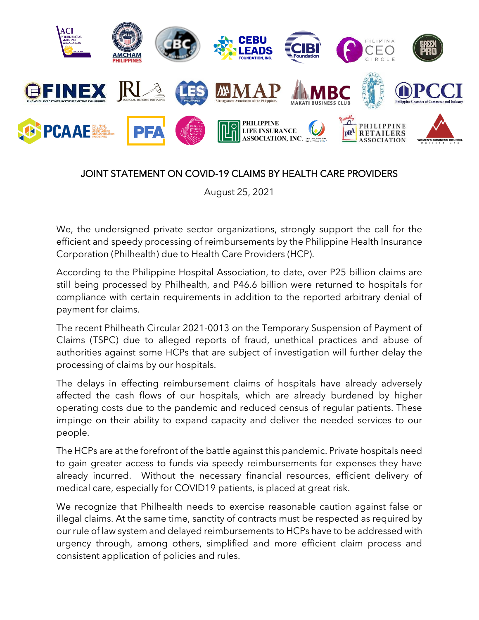

## JOINT STATEMENT ON COVID-19 CLAIMS BY HEALTH CARE PROVIDERS

August 25, 2021

We, the undersigned private sector organizations, strongly support the call for the efficient and speedy processing of reimbursements by the Philippine Health Insurance Corporation (Philhealth) due to Health Care Providers (HCP).

According to the Philippine Hospital Association, to date, over P25 billion claims are still being processed by Philhealth, and P46.6 billion were returned to hospitals for compliance with certain requirements in addition to the reported arbitrary denial of payment for claims.

The recent Philheath Circular 2021-0013 on the Temporary Suspension of Payment of Claims (TSPC) due to alleged reports of fraud, unethical practices and abuse of authorities against some HCPs that are subject of investigation will further delay the processing of claims by our hospitals.

The delays in effecting reimbursement claims of hospitals have already adversely affected the cash flows of our hospitals, which are already burdened by higher operating costs due to the pandemic and reduced census of regular patients. These impinge on their ability to expand capacity and deliver the needed services to our people.

The HCPs are at the forefront of the battle against this pandemic. Private hospitals need to gain greater access to funds via speedy reimbursements for expenses they have already incurred. Without the necessary financial resources, efficient delivery of medical care, especially for COVID19 patients, is placed at great risk.

We recognize that Philhealth needs to exercise reasonable caution against false or illegal claims. At the same time, sanctity of contracts must be respected as required by our rule of law system and delayed reimbursements to HCPs have to be addressed with urgency through, among others, simplified and more efficient claim process and consistent application of policies and rules.